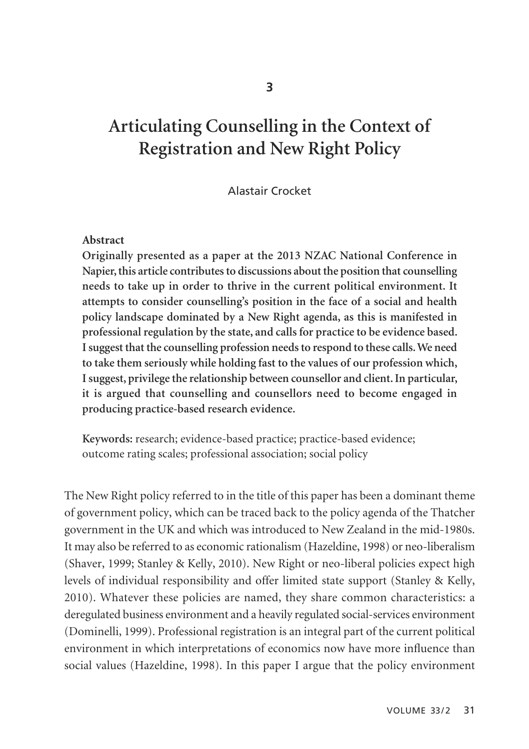# **Articulating Counselling in the Context of Registration and New Right Policy**

#### Alastair Crocket

#### **Abstract**

**Originally presented as a paper at the 2013 NZAC National Conference in Napier, this article contributes to discussions about the position that counselling needs to take up in order to thrive in the current political environment. It attempts to consider counselling's position in the face of a social and health policy landscape dominated by a New Right agenda, as this is manifested in professional regulation by the state, and calls for practice to be evidence based. I suggest that the counselling profession needs to respond to these calls. We need to take them seriously while holding fast to the values of our profession which, I suggest, privilege the relationship between counsellor and client. In particular, it is argued that counselling and counsellors need to become engaged in producing practice-based research evidence.**

**Keywords:** research; evidence-based practice; practice-based evidence; outcome rating scales; professional association; social policy

The New Right policy referred to in the title of this paper has been a dominant theme of government policy, which can be traced back to the policy agenda of the Thatcher government in the UK and which was introduced to New Zealand in the mid-1980s. It may also be referred to as economic rationalism (Hazeldine, 1998) or neo-liberalism (Shaver, 1999; Stanley & Kelly, 2010). New Right or neo-liberal policies expect high levels of individual responsibility and offer limited state support (Stanley & Kelly, 2010). Whatever these policies are named, they share common characteristics: a deregulated business environment and a heavily regulated social-services environment (Dominelli, 1999). Professional registration is an integral part of the current political environment in which interpretations of economics now have more influence than social values (Hazeldine, 1998). In this paper I argue that the policy environment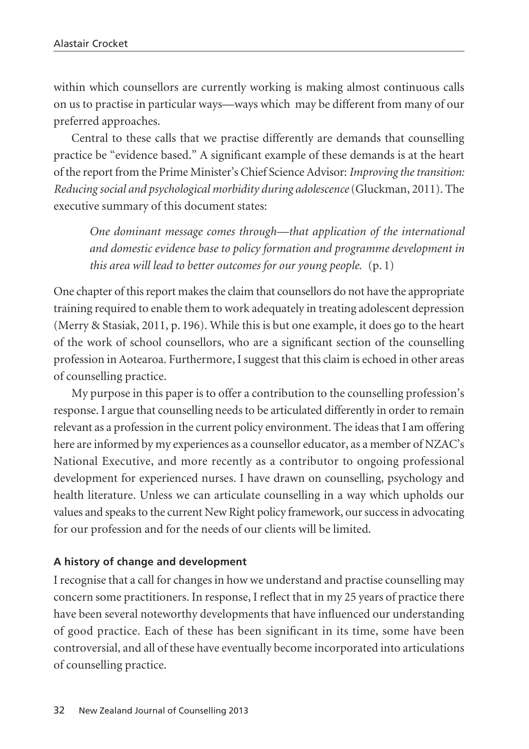within which counsellors are currently working is making almost continuous calls on us to practise in particular ways—ways which may be different from many of our preferred approaches.

Central to these calls that we practise differently are demands that counselling practice be "evidence based." A significant example of these demands is at the heart of the report from the Prime Minister's Chief Science Advisor: *Improving the transition: Reducing social and psychological morbidity during adolescence*(Gluckman, 2011). The executive summary of this document states:

*One dominant message comes through—that application of the international and domestic evidence base to policy formation and programme development in this area will lead to better outcomes for our young people.* (p. 1)

One chapter of this report makes the claim that counsellors do not have the appropriate training required to enable them to work adequately in treating adolescent depression (Merry & Stasiak, 2011, p. 196). While this is but one example, it does go to the heart of the work of school counsellors, who are a significant section of the counselling profession in Aotearoa. Furthermore, I suggest that this claim is echoed in other areas of counselling practice.

My purpose in this paper is to offer a contribution to the counselling profession's response. I argue that counselling needs to be articulated differently in order to remain relevant as a profession in the current policy environment. The ideas that I am offering here are informed by my experiences as a counsellor educator, as a member of NZAC's National Executive, and more recently as a contributor to ongoing professional development for experienced nurses. I have drawn on counselling, psychology and health literature. Unless we can articulate counselling in a way which upholds our values and speaks to the current New Right policy framework, our success in advocating for our profession and for the needs of our clients will be limited.

## **A history of change and development**

I recognise that a call for changes in how we understand and practise counselling may concern some practitioners. In response, I reflect that in my 25 years of practice there have been several noteworthy developments that have influenced our understanding of good practice. Each of these has been significant in its time, some have been controversial, and all of these have eventually become incorporated into articulations of counselling practice.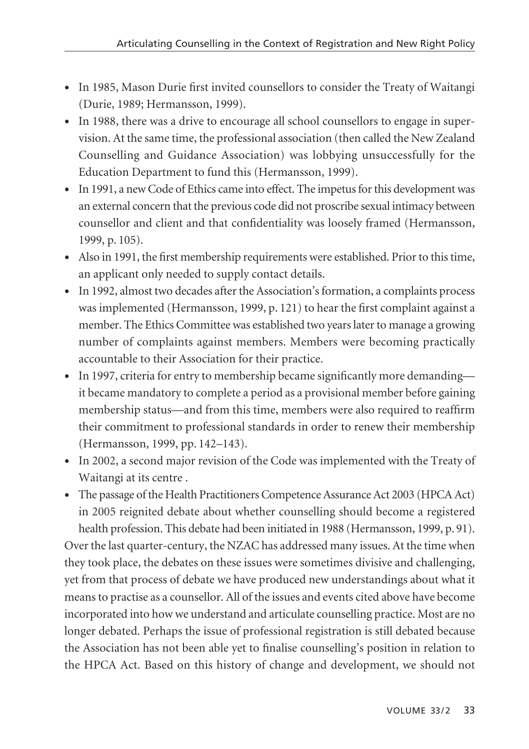- In 1985, Mason Durie first invited counsellors to consider the Treaty of Waitangi (Durie, 1989; Hermansson, 1999).
- In 1988, there was a drive to encourage all school counsellors to engage in supervision. At the same time, the professional association (then called the New Zealand Counselling and Guidance Association) was lobbying unsuccessfully for the Education Department to fund this (Hermansson, 1999).
- In 1991, a new Code of Ethics came into effect. The impetus for this development was an external concern that the previous code did not proscribe sexual intimacy between counsellor and client and that confidentiality was loosely framed (Hermansson, 1999, p. 105).
- Also in 1991, the first membership requirements were established. Prior to this time, an applicant only needed to supply contact details.
- In 1992, almost two decades after the Association's formation, a complaints process was implemented (Hermansson, 1999, p. 121) to hear the first complaint against a member. The Ethics Committee was established two years later to manage a growing number of complaints against members. Members were becoming practically accountable to their Association for their practice.
- In 1997, criteria for entry to membership became significantly more demanding it became mandatory to complete a period as a provisional member before gaining membership status—and from this time, members were also required to reaffirm their commitment to professional standards in order to renew their membership (Hermansson, 1999, pp. 142–143).
- In 2002, a second major revision of the Code was implemented with the Treaty of Waitangi at its centre .
- The passage of the Health Practitioners Competence Assurance Act 2003 (HPCA Act) in 2005 reignited debate about whether counselling should become a registered health profession. This debate had been initiated in 1988 (Hermansson, 1999, p. 91). Over the last quarter-century, the NZAC has addressed many issues. At the time when they took place, the debates on these issues were sometimes divisive and challenging, yet from that process of debate we have produced new understandings about what it means to practise as a counsellor. All of the issues and events cited above have become incorporated into how we understand and articulate counselling practice. Most are no longer debated. Perhaps the issue of professional registration is still debated because the Association has not been able yet to finalise counselling's position in relation to the HPCA Act. Based on this history of change and development, we should not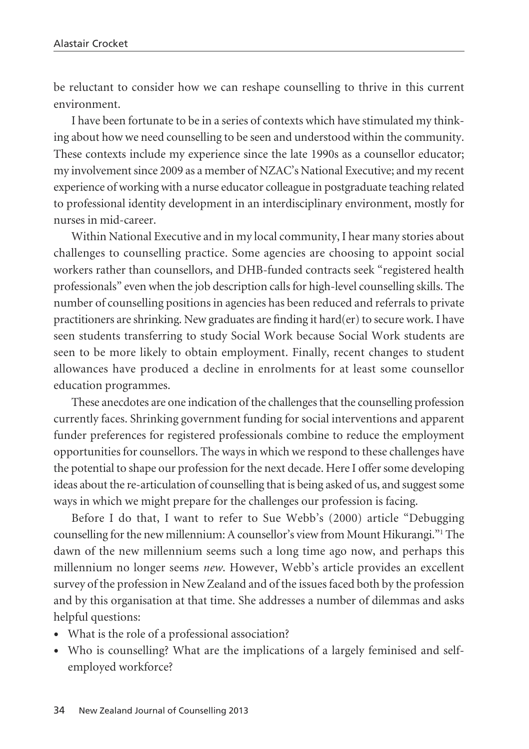be reluctant to consider how we can reshape counselling to thrive in this current environment.

I have been fortunate to be in a series of contexts which have stimulated my thinking about how we need counselling to be seen and understood within the community. These contexts include my experience since the late 1990s as a counsellor educator; my involvement since 2009 as a member of NZAC's National Executive; and my recent experience of working with a nurse educator colleague in postgraduate teaching related to professional identity development in an interdisciplinary environment, mostly for nurses in mid-career.

Within National Executive and in my local community, I hear many stories about challenges to counselling practice. Some agencies are choosing to appoint social workers rather than counsellors, and DHB-funded contracts seek "registered health professionals" even when the job description calls for high-level counselling skills. The number of counselling positions in agencies has been reduced and referrals to private practitioners are shrinking. New graduates are finding it hard(er) to secure work. I have seen students transferring to study Social Work because Social Work students are seen to be more likely to obtain employment. Finally, recent changes to student allowances have produced a decline in enrolments for at least some counsellor education programmes.

These anecdotes are one indication of the challenges that the counselling profession currently faces. Shrinking government funding for social interventions and apparent funder preferences for registered professionals combine to reduce the employment opportunities for counsellors. The ways in which we respond to these challenges have the potential to shape our profession for the next decade. Here I offer some developing ideas about the re-articulation of counselling that is being asked of us, and suggest some ways in which we might prepare for the challenges our profession is facing.

Before I do that, I want to refer to Sue Webb's (2000) article "Debugging counselling for the new millennium: A counsellor's view from Mount Hikurangi."1 The dawn of the new millennium seems such a long time ago now, and perhaps this millennium no longer seems *new*. However, Webb's article provides an excellent survey of the profession in New Zealand and of the issues faced both by the profession and by this organisation at that time. She addresses a number of dilemmas and asks helpful questions:

- What is the role of a professional association?
- Who is counselling? What are the implications of a largely feminised and selfemployed workforce?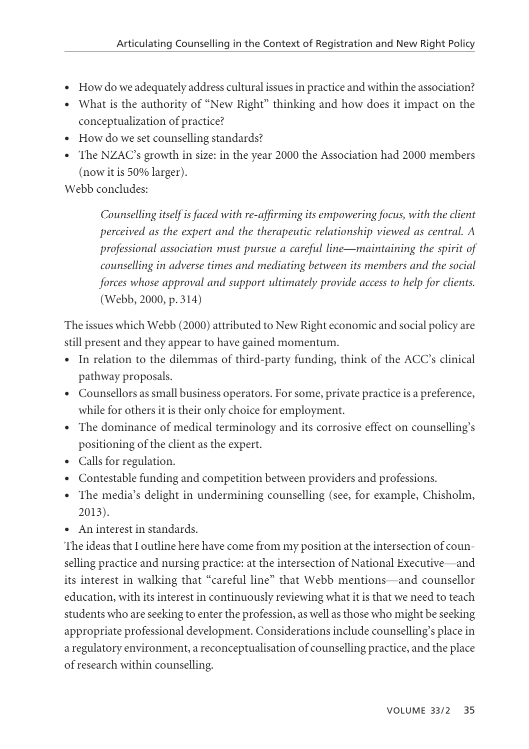- How do we adequately address cultural issues in practice and within the association?
- What is the authority of "New Right" thinking and how does it impact on the conceptualization of practice?
- How do we set counselling standards?
- The NZAC's growth in size: in the year 2000 the Association had 2000 members (now it is 50% larger).

Webb concludes:

*Counselling itself is faced with re-affirming its empowering focus, with the client perceived as the expert and the therapeutic relationship viewed as central. A professional association must pursue a careful line—maintaining the spirit of counselling in adverse times and mediating between its members and the social forces whose approval and support ultimately provide access to help for clients.* (Webb, 2000, p. 314)

The issues which Webb (2000) attributed to New Right economic and social policy are still present and they appear to have gained momentum.

- In relation to the dilemmas of third-party funding, think of the ACC's clinical pathway proposals.
- Counsellors as small business operators. For some, private practice is a preference, while for others it is their only choice for employment.
- The dominance of medical terminology and its corrosive effect on counselling's positioning of the client as the expert.
- Calls for regulation.
- Contestable funding and competition between providers and professions.
- The media's delight in undermining counselling (see, for example, Chisholm, 2013).
- An interest in standards.

The ideas that I outline here have come from my position at the intersection of coun selling practice and nursing practice: at the intersection of National Executive—and its interest in walking that "careful line" that Webb mentions—and counsellor education, with its interest in continuously reviewing what it is that we need to teach students who are seeking to enter the profession, as well as those who might be seeking appropriate professional development. Considerations include counselling's place in a regulatory environment, a reconceptualisation of counselling practice, and the place of research within counselling.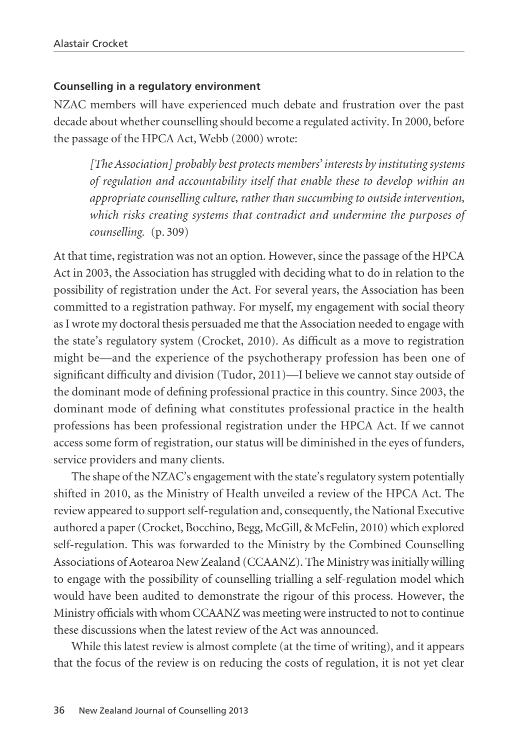#### **Counselling in a regulatory environment**

NZAC members will have experienced much debate and frustration over the past decade about whether counselling should become a regulated activity. In 2000, before the passage of the HPCA Act, Webb (2000) wrote:

*[The Association] probably best protects members' interests by instituting systems of regulation and accountability itself that enable these to develop within an appropriate counselling culture, rather than succumbing to outside intervention, which risks creating systems that contradict and undermine the purposes of counselling.* (p. 309)

At that time, registration was not an option. However, since the passage of the HPCA Act in 2003, the Association has struggled with deciding what to do in relation to the possibility of registration under the Act. For several years, the Association has been committed to a registration pathway. For myself, my engagement with social theory as I wrote my doctoral thesis persuaded me that the Association needed to engage with the state's regulatory system (Crocket, 2010). As difficult as a move to registration might be—and the experience of the psychotherapy profession has been one of significant difficulty and division (Tudor, 2011)—I believe we cannot stay outside of the dominant mode of defining professional practice in this country. Since 2003, the dominant mode of defining what constitutes professional practice in the health professions has been professional registration under the HPCA Act. If we cannot access some form of registration, our status will be diminished in the eyes of funders, service providers and many clients.

The shape of the NZAC's engagement with the state's regulatory system potentially shifted in 2010, as the Ministry of Health unveiled a review of the HPCA Act. The review appeared to support self-regulation and, consequently, the National Executive authored a paper (Crocket, Bocchino, Begg, McGill, & McFelin, 2010) which explored self-regulation. This was forwarded to the Ministry by the Combined Counselling Associations of Aotearoa New Zealand (CCAANZ). The Ministry was initially willing to engage with the possibility of counselling trialling a self-regulation model which would have been audited to demonstrate the rigour of this process. However, the Ministry officials with whom CCAANZ was meeting were instructed to not to continue these discussions when the latest review of the Act was announced.

While this latest review is almost complete (at the time of writing), and it appears that the focus of the review is on reducing the costs of regulation, it is not yet clear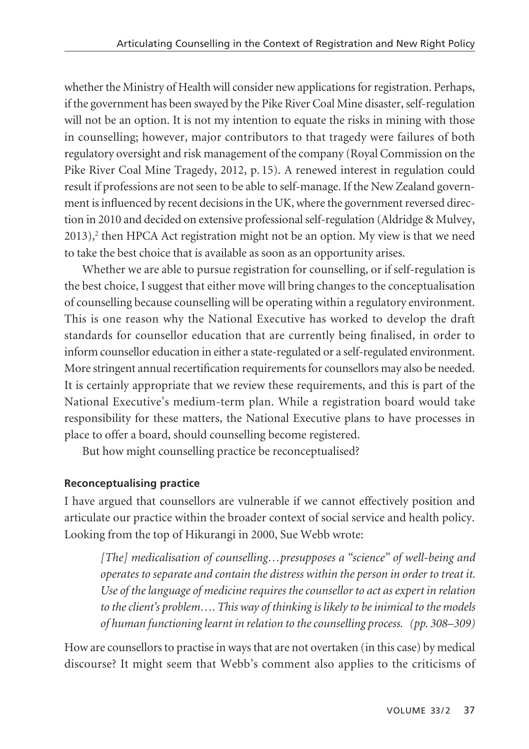whether the Ministry of Health will consider new applications for registration. Perhaps, if the government has been swayed by the Pike River Coal Mine disaster, self-regulation will not be an option. It is not my intention to equate the risks in mining with those in counselling; however, major contributors to that tragedy were failures of both regulatory oversight and risk management of the company (Royal Commission on the Pike River Coal Mine Tragedy, 2012, p. 15). A renewed interest in regulation could result if professions are not seen to be able to self-manage. If the New Zealand government is influenced by recent decisions in the UK, where the government reversed direction in 2010 and decided on extensive professional self-regulation (Aldridge & Mulvey,  $2013$ ,<sup>2</sup> then HPCA Act registration might not be an option. My view is that we need to take the best choice that is available as soon as an opportunity arises.

Whether we are able to pursue registration for counselling, or if self-regulation is the best choice, I suggest that either move will bring changes to the conceptualisation of counselling because counselling will be operating within a regulatory environment. This is one reason why the National Executive has worked to develop the draft standards for counsellor education that are currently being finalised, in order to inform counsellor education in either a state-regulated or a self-regulated environment. More stringent annual recertification requirements for counsellors may also be needed. It is certainly appropriate that we review these requirements, and this is part of the National Executive's medium-term plan. While a registration board would take responsibility for these matters, the National Executive plans to have processes in place to offer a board, should counselling become registered.

But how might counselling practice be reconceptualised?

## **Reconceptualising practice**

I have argued that counsellors are vulnerable if we cannot effectively position and articulate our practice within the broader context of social service and health policy. Looking from the top of Hikurangi in 2000, Sue Webb wrote:

*[The] medicalisation of counselling…presupposes a "science" of well-being and operates to separate and contain the distress within the person in order to treat it. Use of the language of medicine requires the counsellor to act as expert in relation to the client's problem…. This way of thinking is likely to be inimical to the models of human functioning learnt in relation to the counselling process. (pp. 308–309)*

How are counsellors to practise in ways that are not overtaken (in this case) by medical discourse? It might seem that Webb's comment also applies to the criticisms of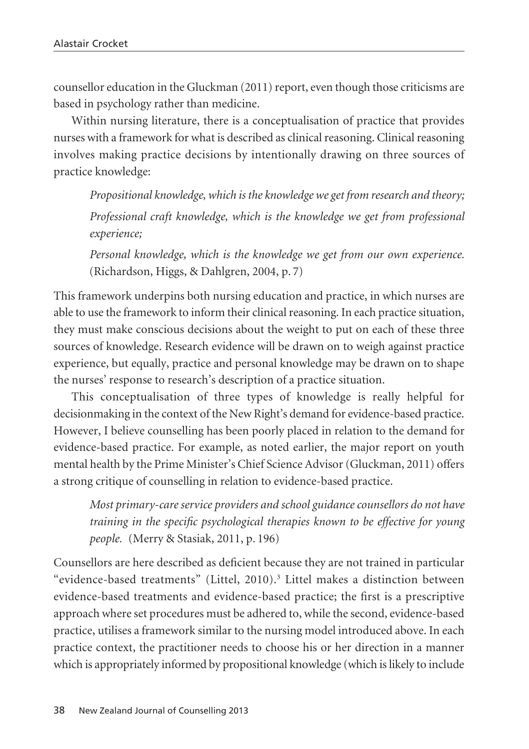counsellor education in the Gluckman (2011) report, even though those criticisms are based in psychology rather than medicine.

Within nursing literature, there is a conceptualisation of practice that provides nurses with a framework for what is described as clinical reasoning. Clinical reasoning involves making practice decisions by intentionally drawing on three sources of practice knowledge:

*Propositional knowledge, which is the knowledge we get from research and theory; Professional craft knowledge, which is the knowledge we get from professional experience;*

*Personal knowledge, which is the knowledge we get from our own experience.* (Richardson, Higgs, & Dahlgren, 2004, p. 7)

This framework underpins both nursing education and practice, in which nurses are able to use the framework to inform their clinical reasoning. In each practice situation, they must make conscious decisions about the weight to put on each of these three sources of knowledge. Research evidence will be drawn on to weigh against practice experience, but equally, practice and personal knowledge may be drawn on to shape the nurses' response to research's description of a practice situation.

This conceptualisation of three types of knowledge is really helpful for decisionmaking in the context of the New Right's demand for evidence-based practice. However, I believe counselling has been poorly placed in relation to the demand for evidence-based practice. For example, as noted earlier, the major report on youth mental health by the Prime Minister's Chief Science Advisor (Gluckman, 2011) offers a strong critique of counselling in relation to evidence-based practice.

*Most primary-care service providers and school guidance counsellors do not have training in the specific psychological therapies known to be effective for young people.* (Merry & Stasiak, 2011, p. 196)

Counsellors are here described as deficient because they are not trained in particular "evidence-based treatments" (Littel, 2010).3 Littel makes a distinction between evidence-based treatments and evidence-based practice; the first is a prescriptive approach where set procedures must be adhered to, while the second, evidence-based practice, utilises a framework similar to the nursing model introduced above. In each practice context, the practitioner needs to choose his or her direction in a manner which is appropriately informed by propositional knowledge (which is likely to include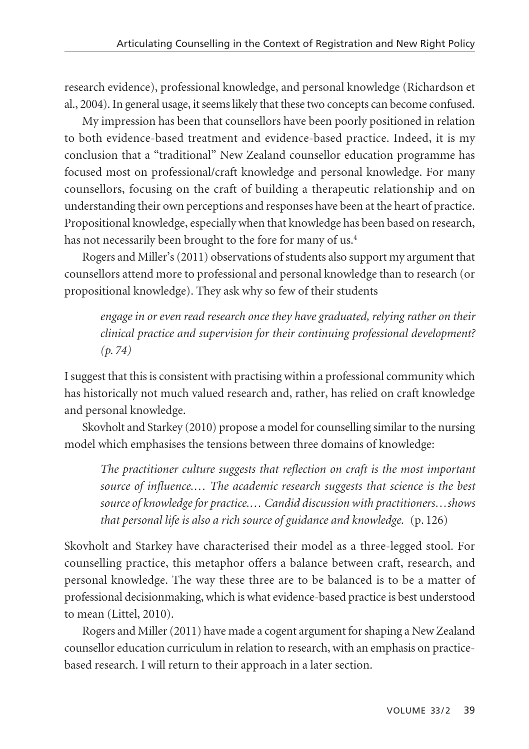research evidence), professional knowledge, and personal knowledge (Richardson et al., 2004). In general usage, it seems likely that these two concepts can become confused.

My impression has been that counsellors have been poorly positioned in relation to both evidence-based treatment and evidence-based practice. Indeed, it is my conclusion that a "traditional" New Zealand counsellor education programme has focused most on professional/craft knowledge and personal knowledge. For many counsellors, focusing on the craft of building a therapeutic relationship and on understanding their own perceptions and responses have been at the heart of practice. Propositional knowledge, especially when that knowledge has been based on research, has not necessarily been brought to the fore for many of us.<sup>4</sup>

Rogers and Miller's (2011) observations of students also support my argument that counsellors attend more to professional and personal knowledge than to research (or propositional knowledge). They ask why so few of their students

*engage in or even read research once they have graduated, relying rather on their clinical practice and supervision for their continuing professional development? (p. 74)*

I suggest that this is consistent with practising within a professional community which has historically not much valued research and, rather, has relied on craft knowledge and personal knowledge.

Skovholt and Starkey (2010) propose a model for counselling similar to the nursing model which emphasises the tensions between three domains of knowledge:

*The practitioner culture suggests that reflection on craft is the most important source of influence.… The academic research suggests that science is the best source of knowledge for practice.… Candid discussion with practitioners…shows that personal life is also a rich source of guidance and knowledge.* (p. 126)

Skovholt and Starkey have characterised their model as a three-legged stool. For counselling practice, this metaphor offers a balance between craft, research, and personal knowledge. The way these three are to be balanced is to be a matter of professional decisionmaking, which is what evidence-based practice is best understood to mean (Littel, 2010).

Rogers and Miller (2011) have made a cogent argument for shaping a New Zealand counsellor education curriculum in relation to research, with an emphasis on practicebased research. I will return to their approach in a later section.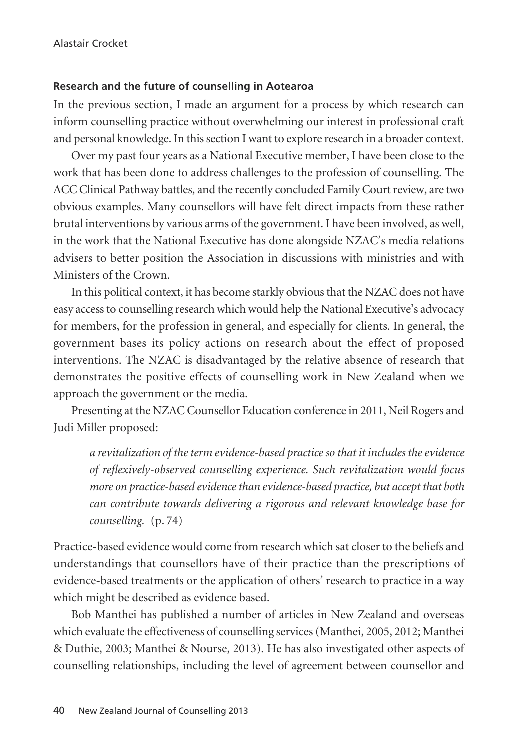#### **Research and the future of counselling in Aotearoa**

In the previous section, I made an argument for a process by which research can inform counselling practice without overwhelming our interest in professional craft and personal knowledge. In this section I want to explore research in a broader context.

Over my past four years as a National Executive member, I have been close to the work that has been done to address challenges to the profession of counselling. The ACC Clinical Pathway battles, and the recently concluded Family Court review, are two obvious examples. Many counsellors will have felt direct impacts from these rather brutal interventions by various arms of the government. I have been involved, as well, in the work that the National Executive has done alongside NZAC's media relations advisers to better position the Association in discussions with ministries and with Ministers of the Crown.

In this political context, it has become starkly obvious that the NZAC does not have easy access to counselling research which would help the National Executive's advocacy for members, for the profession in general, and especially for clients. In general, the government bases its policy actions on research about the effect of proposed interventions. The NZAC is disadvantaged by the relative absence of research that demonstrates the positive effects of counselling work in New Zealand when we approach the government or the media.

Presenting at the NZAC Counsellor Education conference in 2011, Neil Rogers and Judi Miller proposed:

*a revitalization of the term evidence-based practice so that it includes the evidence of reflexively-observed counselling experience. Such revitalization would focus more on practice-based evidence than evidence-based practice, but accept that both can contribute towards delivering a rigorous and relevant knowledge base for counselling.* (p. 74)

Practice-based evidence would come from research which sat closer to the beliefs and understandings that counsellors have of their practice than the prescriptions of evidence-based treatments or the application of others' research to practice in a way which might be described as evidence based.

Bob Manthei has published a number of articles in New Zealand and overseas which evaluate the effectiveness of counselling services (Manthei, 2005, 2012; Manthei & Duthie, 2003; Manthei & Nourse, 2013). He has also investigated other aspects of counselling relationships, including the level of agreement between counsellor and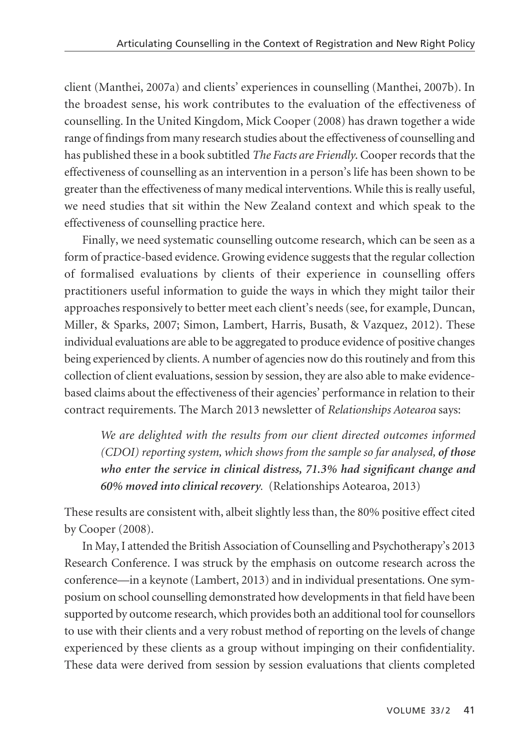client (Manthei, 2007a) and clients' experiences in counselling (Manthei, 2007b). In the broadest sense, his work contributes to the evaluation of the effectiveness of counselling. In the United Kingdom, Mick Cooper (2008) has drawn together a wide range of findings from many research studies about the effectiveness of counselling and has published these in a book subtitled *The Facts are Friendly*. Cooper records that the effectiveness of counselling as an intervention in a person's life has been shown to be greater than the effectiveness of many medical interventions. While this is really useful, we need studies that sit within the New Zealand context and which speak to the effectiveness of counselling practice here.

Finally, we need systematic counselling outcome research, which can be seen as a form of practice-based evidence. Growing evidence suggests that the regular collection of formalised evaluations by clients of their experience in counselling offers practitioners useful information to guide the ways in which they might tailor their approaches responsively to better meet each client's needs (see, for example, Duncan, Miller, & Sparks, 2007; Simon, Lambert, Harris, Busath, & Vazquez, 2012). These individual evaluations are able to be aggregated to produce evidence of positive changes being experienced by clients. A number of agencies now do this routinely and from this collection of client evaluations, session by session, they are also able to make evidencebased claims about the effectiveness of their agencies' performance in relation to their contract requirements. The March 2013 newsletter of *Relationships Aotearoa* says:

*We are delighted with the results from our client directed outcomes informed (CDOI) reporting system, which shows from the sample so far analysed, of those who enter the service in clinical distress, 71.3% had significant change and 60% moved into clinical recovery*. (Relationships Aotearoa, 2013)

These results are consistent with, albeit slightly less than, the 80% positive effect cited by Cooper (2008).

In May, I attended the British Association of Counselling and Psychotherapy's 2013 Research Conference. I was struck by the emphasis on outcome research across the conference—in a keynote (Lambert, 2013) and in individual presentations. One symposium on school counselling demonstrated how developments in that field have been supported by outcome research, which provides both an additional tool for counsellors to use with their clients and a very robust method of reporting on the levels of change experienced by these clients as a group without impinging on their confidentiality. These data were derived from session by session evaluations that clients completed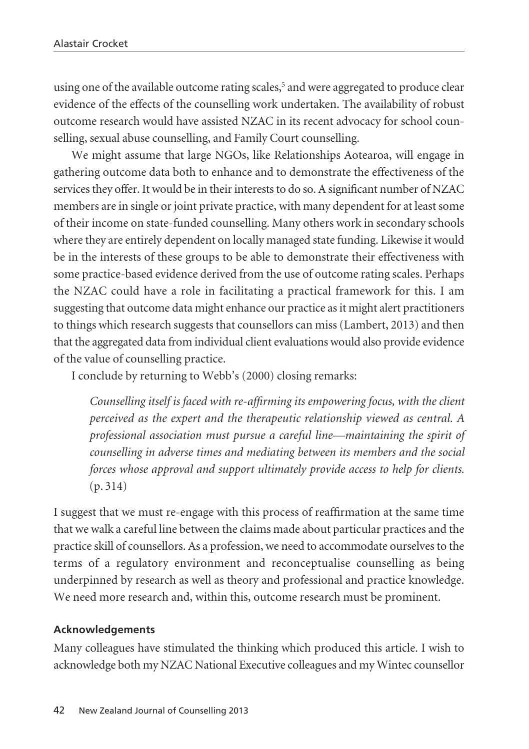using one of the available outcome rating scales,<sup>5</sup> and were aggregated to produce clear evidence of the effects of the counselling work undertaken. The availability of robust outcome research would have assisted NZAC in its recent advocacy for school counselling, sexual abuse counselling, and Family Court counselling.

We might assume that large NGOs, like Relationships Aotearoa, will engage in gathering outcome data both to enhance and to demonstrate the effectiveness of the services they offer. It would be in their interests to do so. A significant number of NZAC members are in single or joint private practice, with many dependent for at least some of their income on state-funded counselling. Many others work in secondary schools where they are entirely dependent on locally managed state funding. Likewise it would be in the interests of these groups to be able to demonstrate their effectiveness with some practice-based evidence derived from the use of outcome rating scales. Perhaps the NZAC could have a role in facilitating a practical framework for this. I am suggesting that outcome data might enhance our practice as it might alert practitioners to things which research suggests that counsellors can miss (Lambert, 2013) and then that the aggregated data from individual client evaluations would also provide evidence of the value of counselling practice.

I conclude by returning to Webb's (2000) closing remarks:

*Counselling itself is faced with re-affirming its empowering focus, with the client perceived as the expert and the therapeutic relationship viewed as central. A professional association must pursue a careful line—maintaining the spirit of counselling in adverse times and mediating between its members and the social forces whose approval and support ultimately provide access to help for clients.* (p. 314)

I suggest that we must re-engage with this process of reaffirmation at the same time that we walk a careful line between the claims made about particular practices and the practice skill of counsellors. As a profession, we need to accommodate ourselves to the terms of a regulatory environment and reconceptualise counselling as being underpinned by research as well as theory and professional and practice knowledge. We need more research and, within this, outcome research must be prominent.

### **Acknowledgements**

Many colleagues have stimulated the thinking which produced this article. I wish to acknowledge both my NZAC National Executive colleagues and my Wintec counsellor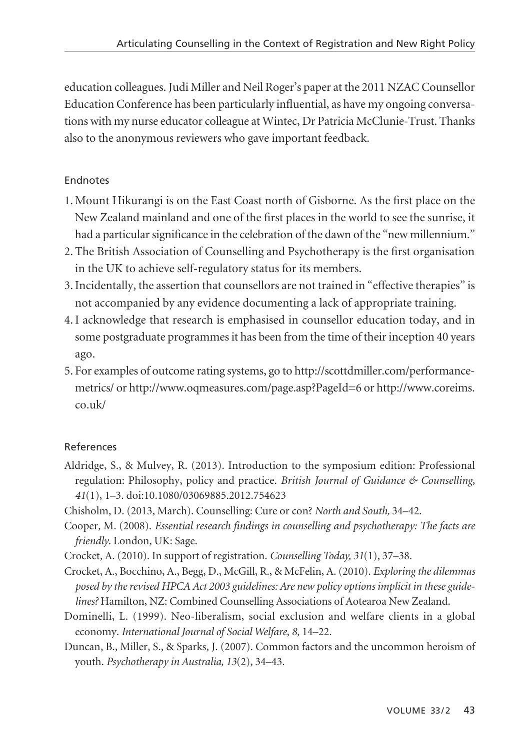education colleagues. Judi Miller and Neil Roger's paper at the 2011 NZAC Counsellor Education Conference has been particularly influential, as have my ongoing conversations with my nurse educator colleague at Wintec, Dr Patricia McClunie-Trust. Thanks also to the anonymous reviewers who gave important feedback.

## Endnotes

- 1. Mount Hikurangi is on the East Coast north of Gisborne. As the first place on the New Zealand mainland and one of the first places in the world to see the sunrise, it had a particular significance in the celebration of the dawn of the "new millennium."
- 2. The British Association of Counselling and Psychotherapy is the first organisation in the UK to achieve self-regulatory status for its members.
- 3. Incidentally, the assertion that counsellors are not trained in "effective therapies" is not accompanied by any evidence documenting a lack of appropriate training.
- 4. I acknowledge that research is emphasised in counsellor education today, and in some postgraduate programmes it has been from the time of their inception 40 years ago.
- 5. For examples of outcome rating systems, go to http://scottdmiller.com/performancemetrics/ or http://www.oqmeasures.com/page.asp?PageId=6 or http://www.coreims.  $\cos(10k)$

## References

- Aldridge, S., & Mulvey, R. (2013). Introduction to the symposium edition: Professional regulation: Philosophy, policy and practice. *British Journal of Guidance & Counselling, 41*(1), 1–3. doi:10.1080/03069885.2012.754623
- Chisholm, D. (2013, March). Counselling: Cure or con? *North and South,* 34–42.
- Cooper, M. (2008). *Essential research findings in counselling and psychotherapy: The facts are friendly*. London, UK: Sage.
- Crocket, A. (2010). In support of registration. *Counselling Today, 31*(1), 37–38.
- Crocket, A., Bocchino, A., Begg, D., McGill, R., & McFelin, A. (2010). *Exploring the dilemmas posed by the revised HPCA Act 2003 guidelines: Are new policy options implicit in these guidelines?* Hamilton, NZ: Combined Counselling Associations of Aotearoa New Zealand.
- Dominelli, L. (1999). Neo-liberalism, social exclusion and welfare clients in a global economy. *International Journal of Social Welfare*, *8*, 14–22.
- Duncan, B., Miller, S., & Sparks, J. (2007). Common factors and the uncommon heroism of youth. *Psychotherapy in Australia, 13*(2), 34–43.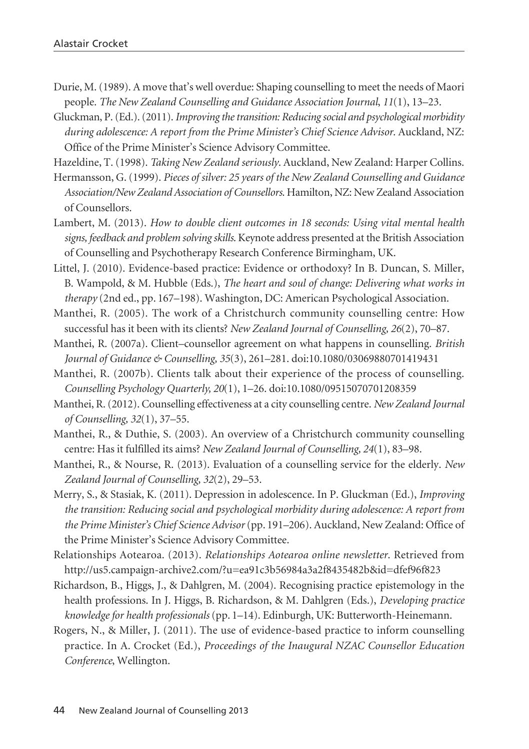- Durie, M. (1989). A move that's well overdue: Shaping counselling to meet the needs of Maori people. *The New Zealand Counselling and Guidance Association Journal*, *11*(1), 13–23.
- Gluckman, P. (Ed.). (2011). *Improving the transition: Reducing social and psychological morbidity during adolescence: A report from the Prime Minister's Chief Science Advisor*. Auckland, NZ: Office of the Prime Minister's Science Advisory Committee.

Hazeldine, T. (1998). *Taking New Zealand seriously*. Auckland, New Zealand: Harper Collins.

- Hermansson, G. (1999). *Pieces of silver: 25 years of the New Zealand Counselling and Guidance Association/New Zealand Association of Counsellors*. Hamilton, NZ: New Zealand Association of Counsellors.
- Lambert, M. (2013). *How to double client outcomes in 18 seconds: Using vital mental health signs, feedback and problem solving skills*. Keynote address presented at the British Association of Counselling and Psychotherapy Research Conference Birmingham, UK.
- Littel, J. (2010). Evidence-based practice: Evidence or orthodoxy? In B. Duncan, S. Miller, B. Wampold, & M. Hubble (Eds.), *The heart and soul of change: Delivering what works in therapy* (2nd ed., pp. 167–198). Washington, DC: American Psychological Association.
- Manthei, R. (2005). The work of a Christchurch community counselling centre: How successful has it been with its clients? *New Zealand Journal of Counselling, 26*(2), 70–87.
- Manthei, R. (2007a). Client–counsellor agreement on what happens in counselling. *British Journal of Guidance & Counselling, 35*(3), 261–281. doi:10.1080/03069880701419431
- Manthei, R. (2007b). Clients talk about their experience of the process of counselling. *Counselling Psychology Quarterly, 20*(1), 1–26. doi:10.1080/09515070701208359
- Manthei, R. (2012). Counselling effectiveness at a city counselling centre. *New Zealand Journal of Counselling, 32*(1), 37–55.
- Manthei, R., & Duthie, S. (2003). An overview of a Christchurch community counselling centre: Has it fulfilled its aims? *New Zealand Journal of Counselling, 24*(1), 83–98.
- Manthei, R., & Nourse, R. (2013). Evaluation of a counselling service for the elderly. *New Zealand Journal of Counselling, 32*(2), 29–53.
- Merry, S., & Stasiak, K. (2011). Depression in adolescence. In P. Gluckman (Ed.), *Improving the transition: Reducing social and psychological morbidity during adolescence: A report from the Prime Minister's Chief Science Advisor* (pp. 191–206). Auckland, New Zealand: Office of the Prime Minister's Science Advisory Committee.
- Relationships Aotearoa. (2013). *Relationships Aotearoa online newsletter*. Retrieved from http://us5.campaign-archive2.com/?u=ea91c3b56984a3a2f8435482b&id=dfef96f823
- Richardson, B., Higgs, J., & Dahlgren, M. (2004). Recognising practice epistemology in the health professions. In J. Higgs, B. Richardson, & M. Dahlgren (Eds.), *Developing practice knowledge for health professionals* (pp. 1–14). Edinburgh, UK: Butterworth-Heinemann.
- Rogers, N., & Miller, J. (2011). The use of evidence-based practice to inform counselling practice*.* In A. Crocket (Ed.), *Proceedings of the Inaugural NZAC Counsellor Education Conference*, Wellington.